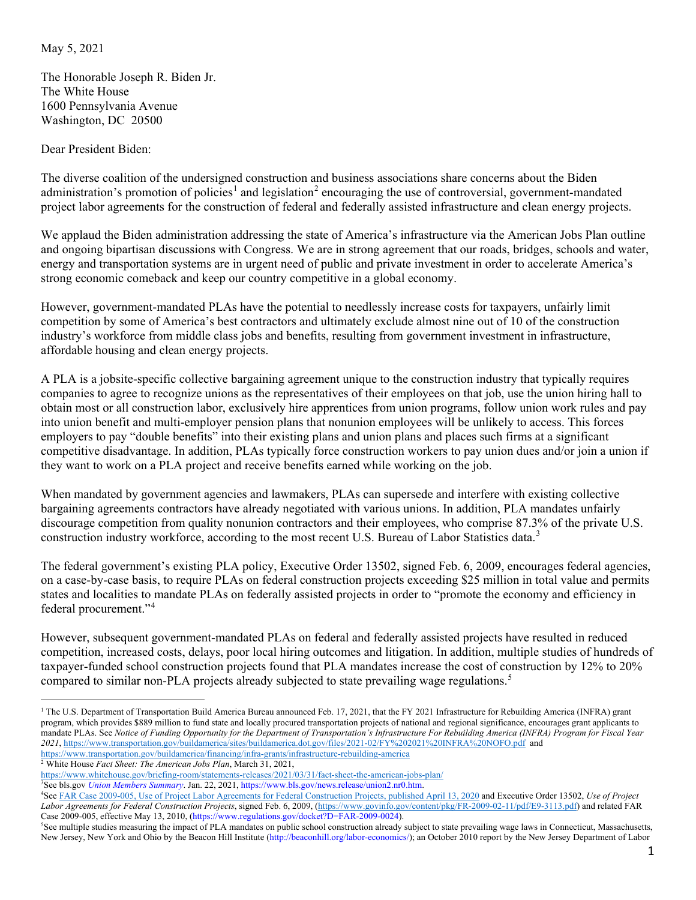May 5, 2021

The Honorable Joseph R. Biden Jr. The White House 1600 Pennsylvania Avenue Washington, DC 20500

Dear President Biden:

The diverse coalition of the undersigned construction and business associations share concerns about the Biden administration's promotion of policies<sup>[1](#page-0-0)</sup> and legislation<sup>[2](#page-0-1)</sup> encouraging the use of controversial, government-mandated project labor agreements for the construction of federal and federally assisted infrastructure and clean energy projects.

We applaud the Biden administration addressing the state of America's infrastructure via the American Jobs Plan outline and ongoing bipartisan discussions with Congress. We are in strong agreement that our roads, bridges, schools and water, energy and transportation systems are in urgent need of public and private investment in order to accelerate America's strong economic comeback and keep our country competitive in a global economy.

However, government-mandated PLAs have the potential to needlessly increase costs for taxpayers, unfairly limit competition by some of America's best contractors and ultimately exclude almost nine out of 10 of the construction industry's workforce from middle class jobs and benefits, resulting from government investment in infrastructure, affordable housing and clean energy projects.

A PLA is a jobsite-specific collective bargaining agreement unique to the construction industry that typically requires companies to agree to recognize unions as the representatives of their employees on that job, use the union hiring hall to obtain most or all construction labor, exclusively hire apprentices from union programs, follow union work rules and pay into union benefit and multi-employer pension plans that nonunion employees will be unlikely to access. This forces employers to pay "double benefits" into their existing plans and union plans and places such firms at a significant competitive disadvantage. In addition, PLAs typically force construction workers to pay union dues and/or join a union if they want to work on a PLA project and receive benefits earned while working on the job.

When mandated by government agencies and lawmakers, PLAs can supersede and interfere with existing collective bargaining agreements contractors have already negotiated with various unions. In addition, PLA mandates unfairly discourage competition from quality nonunion contractors and their employees, who comprise 87.3% of the private U.S. construction industry workforce, according to the most recent U.S. Bureau of Labor Statistics data.<sup>[3](#page-0-2)</sup>

The federal government's existing PLA policy, Executive Order 13502, signed Feb. 6, 2009, encourages federal agencies, on a case-by-case basis, to require PLAs on federal construction projects exceeding \$25 million in total value and permits states and localities to mandate PLAs on federally assisted projects in order to "promote the economy and efficiency in federal procurement."[4](#page-0-3)

However, subsequent government-mandated PLAs on federal and federally assisted projects have resulted in reduced competition, increased costs, delays, poor local hiring outcomes and litigation. In addition, multiple studies of hundreds of taxpayer-funded school construction projects found that PLA mandates increase the cost of construction by 12% to 20% compared to similar non-PLA projects already subjected to state prevailing wage regulations.<sup>[5](#page-0-4)</sup>

<span id="page-0-0"></span><sup>&</sup>lt;sup>1</sup> The U.S. Department of Transportation Build America Bureau announced Feb. 17, 2021, that the FY 2021 Infrastructure for Rebuilding America (INFRA) grant program, which provides \$889 million to fund state and locally procured transportation projects of national and regional significance, encourages grant applicants to mandate PLAs. See *Notice of Funding Opportunity for the Department of Transportation's Infrastructure For Rebuilding America (INFRA) Program for Fiscal Year 2021*[, https://www.transportation.gov/buildamerica/sites/buildamerica.dot.gov/files/2021-02/FY%202021%20INFRA%20NOFO.pdf](https://www.transportation.gov/buildamerica/sites/buildamerica.dot.gov/files/2021-02/FY%202021%20INFRA%20NOFO.pdf) and <https://www.transportation.gov/buildamerica/financing/infra-grants/infrastructure-rebuilding-america>

<span id="page-0-1"></span><sup>&</sup>lt;sup>2</sup> White House *Fact Sheet: The American Jobs Plan*, March 31, 2021,

<https://www.whitehouse.gov/briefing-room/statements-releases/2021/03/31/fact-sheet-the-american-jobs-plan/>

<span id="page-0-2"></span><sup>3</sup> See bls.gov *Union Members Summary*. Jan. 22, 2021, https://www.bls.gov/news.release/union2.nr0.htm.

<span id="page-0-3"></span><sup>4</sup> Se[e FAR Case 2009-005, Use of Project Labor Agreements for Federal Construction Projects, published April 13, 2020](https://www.federalregister.gov/documents/2010/04/13/2010-8118/federal-acquisition-regulation-far-case-2009-005-use-of-project-labor-agreements-for-federal) and Executive Order 13502, *Use of Project Labor Agreements for Federal Construction Projects*, signed Feb. 6, 2009, [\(https://www.govinfo.gov/content/pkg/FR-2009-02-11/pdf/E9-3113.pdf\)](https://www.govinfo.gov/content/pkg/FR-2009-02-11/pdf/E9-3113.pdf) and related FAR Case 2009-005, effective May 13, 2010, (https://www.regulations.gov/docket?D=FAR-2009-0024).

<span id="page-0-4"></span><sup>&</sup>lt;sup>5</sup>See multiple studies measuring the impact of PLA mandates on public school construction already subject to state prevailing wage laws in Connecticut, Massachusetts, New Jersey, New York and Ohio by the Beacon Hill Institute (http://beaconhill.org/labor-economics/); an October 2010 report by the New Jersey Department of Labor